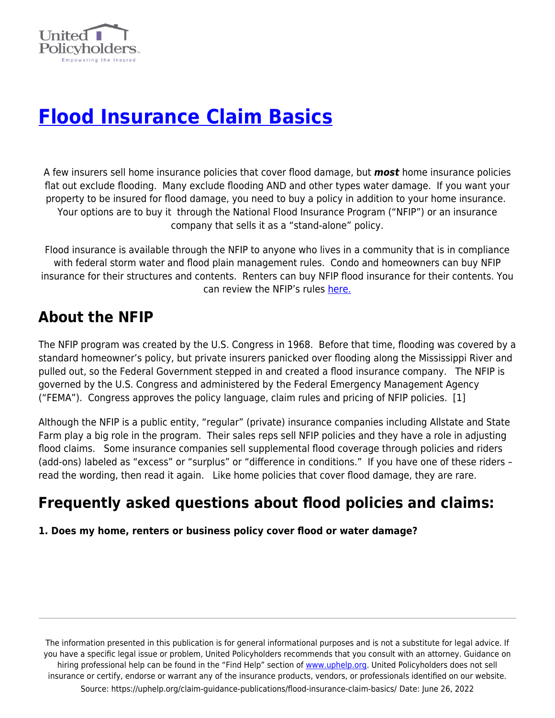

# **[Flood Insurance Claim Basics](https://uphelp.org/claim-guidance-publications/flood-insurance-claim-basics/)**

A few insurers sell home insurance policies that cover flood damage, but *most* home insurance policies flat out exclude flooding. Many exclude flooding AND and other types water damage. If you want your property to be insured for flood damage, you need to buy a policy in addition to your home insurance. Your options are to buy it through the National Flood Insurance Program ("NFIP") or an insurance company that sells it as a "stand-alone" policy.

Flood insurance is available through the NFIP to anyone who lives in a community that is in compliance with federal storm water and flood plain management rules. Condo and homeowners can buy NFIP insurance for their structures and contents. Renters can buy NFIP flood insurance for their contents. You can review the NFIP's rules [here.](https://uphelp.org/wp-content/uploads/2020/09/2019_nfip_rules_0.pdf)

# **About the NFIP**

The NFIP program was created by the U.S. Congress in 1968. Before that time, flooding was covered by a standard homeowner's policy, but private insurers panicked over flooding along the Mississippi River and pulled out, so the Federal Government stepped in and created a flood insurance company. The NFIP is governed by the U.S. Congress and administered by the Federal Emergency Management Agency ("FEMA"). Congress approves the policy language, claim rules and pricing of NFIP policies. [1]

Although the NFIP is a public entity, "regular" (private) insurance companies including Allstate and State Farm play a big role in the program. Their sales reps sell NFIP policies and they have a role in adjusting flood claims. Some insurance companies sell supplemental flood coverage through policies and riders (add-ons) labeled as "excess" or "surplus" or "difference in conditions." If you have one of these riders – read the wording, then read it again. Like home policies that cover flood damage, they are rare.

# **Frequently asked questions about flood policies and claims:**

**1. Does my home, renters or business policy cover flood or water damage?**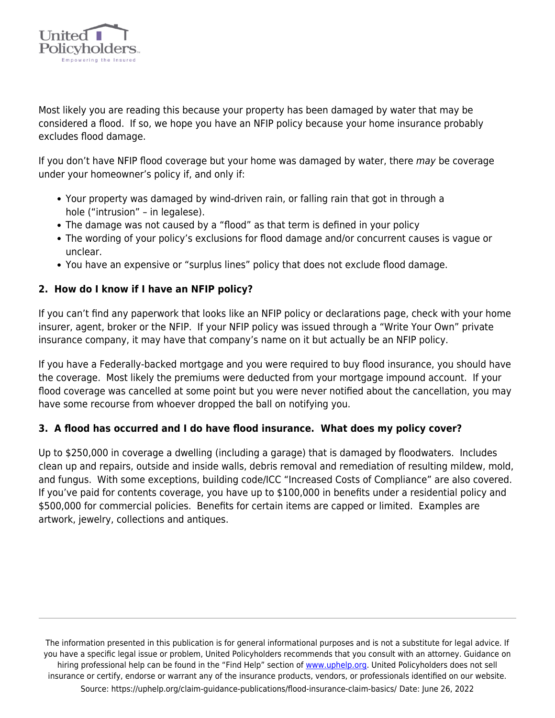

Most likely you are reading this because your property has been damaged by water that may be considered a flood. If so, we hope you have an NFIP policy because your home insurance probably excludes flood damage.

If you don't have NFIP flood coverage but your home was damaged by water, there may be coverage under your homeowner's policy if, and only if:

- Your property was damaged by wind-driven rain, or falling rain that got in through a hole ("intrusion" – in legalese).
- The damage was not caused by a "flood" as that term is defined in your policy
- The wording of your policy's exclusions for flood damage and/or concurrent causes is vague or unclear.
- You have an expensive or "surplus lines" policy that does not exclude flood damage.

### **2. How do I know if I have an NFIP policy?**

If you can't find any paperwork that looks like an NFIP policy or declarations page, check with your home insurer, agent, broker or the NFIP. If your NFIP policy was issued through a "Write Your Own" private insurance company, it may have that company's name on it but actually be an NFIP policy.

If you have a Federally-backed mortgage and you were required to buy flood insurance, you should have the coverage. Most likely the premiums were deducted from your mortgage impound account. If your flood coverage was cancelled at some point but you were never notified about the cancellation, you may have some recourse from whoever dropped the ball on notifying you.

#### **3. A flood has occurred and I do have flood insurance. What does my policy cover?**

Up to \$250,000 in coverage a dwelling (including a garage) that is damaged by floodwaters. Includes clean up and repairs, outside and inside walls, debris removal and remediation of resulting mildew, mold, and fungus. With some exceptions, building code/ICC "Increased Costs of Compliance" are also covered. If you've paid for contents coverage, you have up to \$100,000 in benefits under a residential policy and \$500,000 for commercial policies. Benefits for certain items are capped or limited. Examples are artwork, jewelry, collections and antiques.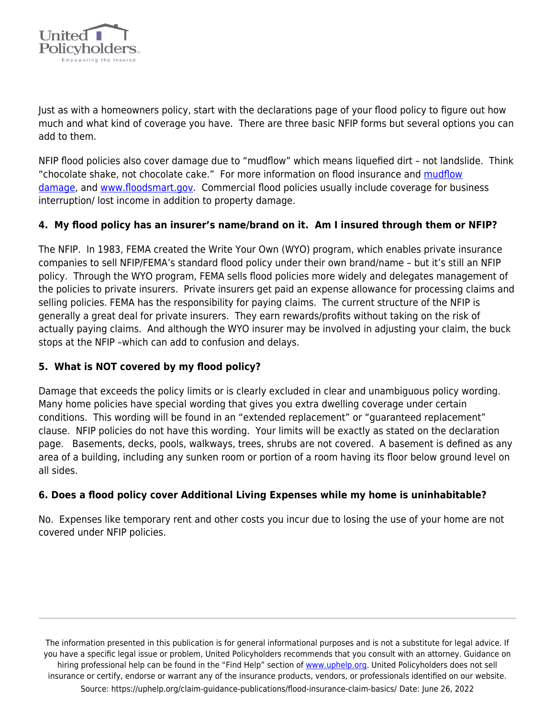

Just as with a homeowners policy, start with the declarations page of your flood policy to figure out how much and what kind of coverage you have. There are three basic NFIP forms but several options you can add to them.

NFIP flood policies also cover damage due to "mudflow" which means liquefied dirt – not landslide. Think "chocolate shake, not chocolate cake." For more information on flood insurance and [mudflow](https://uphelp.org/claim-guidance-publications/the-dirt-on-insurance-protection-for-mud-flow-damage/) [damage,](https://uphelp.org/claim-guidance-publications/the-dirt-on-insurance-protection-for-mud-flow-damage/) and [www.floodsmart.gov](http://www.floodsmart.gov). Commercial flood policies usually include coverage for business interruption/ lost income in addition to property damage.

### **4. My flood policy has an insurer's name/brand on it. Am I insured through them or NFIP?**

The NFIP. In 1983, FEMA created the Write Your Own (WYO) program, which enables private insurance companies to sell NFIP/FEMA's standard flood policy under their own brand/name – but it's still an NFIP policy. Through the WYO program, FEMA sells flood policies more widely and delegates management of the policies to private insurers. Private insurers get paid an expense allowance for processing claims and selling policies. FEMA has the responsibility for paying claims. The current structure of the NFIP is generally a great deal for private insurers. They earn rewards/profits without taking on the risk of actually paying claims. And although the WYO insurer may be involved in adjusting your claim, the buck stops at the NFIP –which can add to confusion and delays.

#### **5. What is NOT covered by my flood policy?**

Damage that exceeds the policy limits or is clearly excluded in clear and unambiguous policy wording. Many home policies have special wording that gives you extra dwelling coverage under certain conditions. This wording will be found in an "extended replacement" or "guaranteed replacement" clause. NFIP policies do not have this wording. Your limits will be exactly as stated on the declaration page. Basements, decks, pools, walkways, trees, shrubs are not covered. A basement is defined as any area of a building, including any sunken room or portion of a room having its floor below ground level on all sides.

#### **6. Does a flood policy cover Additional Living Expenses while my home is uninhabitable?**

No. Expenses like temporary rent and other costs you incur due to losing the use of your home are not covered under NFIP policies.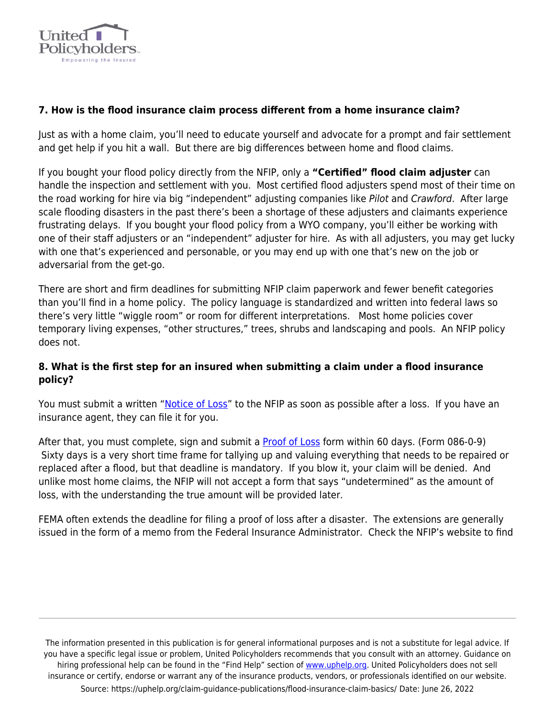

### **7. How is the flood insurance claim process different from a home insurance claim?**

Just as with a home claim, you'll need to educate yourself and advocate for a prompt and fair settlement and get help if you hit a wall. But there are big differences between home and flood claims.

If you bought your flood policy directly from the NFIP, only a **"Certified" flood claim adjuster** can handle the inspection and settlement with you. Most certified flood adjusters spend most of their time on the road working for hire via big "independent" adjusting companies like Pilot and Crawford. After large scale flooding disasters in the past there's been a shortage of these adjusters and claimants experience frustrating delays. If you bought your flood policy from a WYO company, you'll either be working with one of their staff adjusters or an "independent" adjuster for hire. As with all adjusters, you may get lucky with one that's experienced and personable, or you may end up with one that's new on the job or adversarial from the get-go.

There are short and firm deadlines for submitting NFIP claim paperwork and fewer benefit categories than you'll find in a home policy. The policy language is standardized and written into federal laws so there's very little "wiggle room" or room for different interpretations. Most home policies cover temporary living expenses, "other structures," trees, shrubs and landscaping and pools. An NFIP policy does not.

### **8. What is the first step for an insured when submitting a claim under a flood insurance policy?**

You must submit a written "[Notice of Loss](https://www.fema.gov/media-library-data/1533073678194-00fce730a73c647e382fe8ea4a06945a/FEMA_Form_086-0-11_8-1-2017_Notice_of_Loss.pdf)" to the NFIP as soon as possible after a loss. If you have an insurance agent, they can file it for you.

After that, you must complete, sign and submit a [Proof of Loss](https://uphelp.org/wp-content/uploads/2021/01/ProofOfLoss.pdf) form within 60 days. (Form 086-0-9) Sixty days is a very short time frame for tallying up and valuing everything that needs to be repaired or replaced after a flood, but that deadline is mandatory. If you blow it, your claim will be denied. And unlike most home claims, the NFIP will not accept a form that says "undetermined" as the amount of loss, with the understanding the true amount will be provided later.

FEMA often extends the deadline for filing a proof of loss after a disaster. The extensions are generally issued in the form of a memo from the Federal Insurance Administrator. Check the NFIP's website to find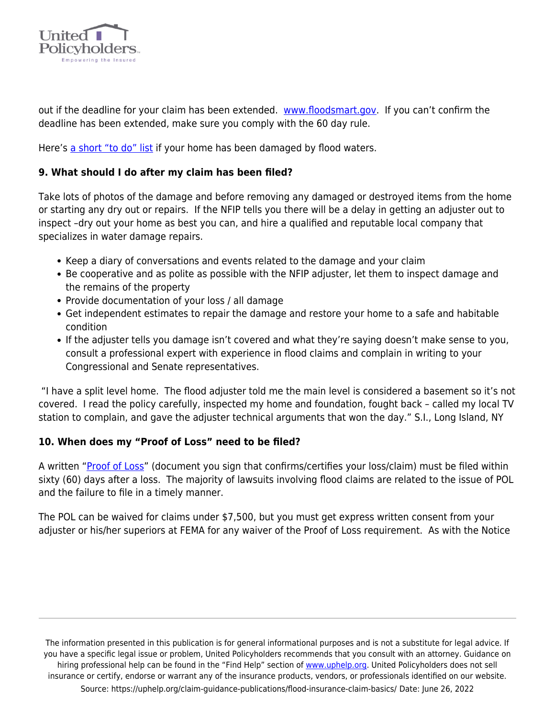

out if the deadline for your claim has been extended. [www.floodsmart.gov](http://www.floodsmart.gov). If you can't confirm the deadline has been extended, make sure you comply with the 60 day rule.

Here's [a short "to do" list](https://uphelp.org/wp-content/uploads/2020/09/flood-recovery-flyer.pdf) if your home has been damaged by flood waters.

### **9. What should I do after my claim has been filed?**

Take lots of photos of the damage and before removing any damaged or destroyed items from the home or starting any dry out or repairs. If the NFIP tells you there will be a delay in getting an adjuster out to inspect –dry out your home as best you can, and hire a qualified and reputable local company that specializes in water damage repairs.

- Keep a diary of conversations and events related to the damage and your claim
- Be cooperative and as polite as possible with the NFIP adjuster, let them to inspect damage and the remains of the property
- Provide documentation of your loss / all damage
- Get independent estimates to repair the damage and restore your home to a safe and habitable condition
- If the adjuster tells you damage isn't covered and what they're saying doesn't make sense to you, consult a professional expert with experience in flood claims and complain in writing to your Congressional and Senate representatives.

 "I have a split level home. The flood adjuster told me the main level is considered a basement so it's not covered. I read the policy carefully, inspected my home and foundation, fought back – called my local TV station to complain, and gave the adjuster technical arguments that won the day." S.I., Long Island, NY

#### **10. When does my "Proof of Loss" need to be filed?**

A written "[Proof of Loss](https://uphelp.org/wp-content/uploads/2021/01/ProofOfLoss.pdf)" (document you sign that confirms/certifies your loss/claim) must be filed within sixty (60) days after a loss. The majority of lawsuits involving flood claims are related to the issue of POL and the failure to file in a timely manner.

The POL can be waived for claims under \$7,500, but you must get express written consent from your adjuster or his/her superiors at FEMA for any waiver of the Proof of Loss requirement. As with the Notice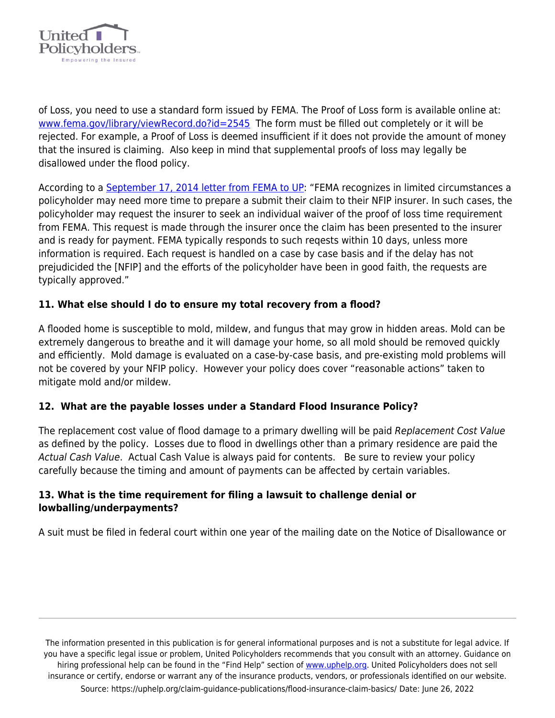

of Loss, you need to use a standard form issued by FEMA. The Proof of Loss form is available online at: [www.fema.gov/library/viewRecord.do?id=2545](http://www.fema.gov/library/viewRecord.do?id=2545) The form must be filled out completely or it will be rejected. For example, a Proof of Loss is deemed insufficient if it does not provide the amount of money that the insured is claiming. Also keep in mind that supplemental proofs of loss may legally be disallowed under the flood policy.

According to a [September 17, 2014 letter from FEMA to UP](https://uphelp.org/wp-content/uploads/2020/09/FEMA-Response-Letter.pdf): "FEMA recognizes in limited circumstances a policyholder may need more time to prepare a submit their claim to their NFIP insurer. In such cases, the policyholder may request the insurer to seek an individual waiver of the proof of loss time requirement from FEMA. This request is made through the insurer once the claim has been presented to the insurer and is ready for payment. FEMA typically responds to such reqests within 10 days, unless more information is required. Each request is handled on a case by case basis and if the delay has not prejudicided the [NFIP] and the efforts of the policyholder have been in good faith, the requests are typically approved."

### **11. What else should I do to ensure my total recovery from a flood?**

A flooded home is susceptible to mold, mildew, and fungus that may grow in hidden areas. Mold can be extremely dangerous to breathe and it will damage your home, so all mold should be removed quickly and efficiently. Mold damage is evaluated on a case-by-case basis, and pre-existing mold problems will not be covered by your NFIP policy. However your policy does cover "reasonable actions" taken to mitigate mold and/or mildew.

## **12. What are the payable losses under a Standard Flood Insurance Policy?**

The replacement cost value of flood damage to a primary dwelling will be paid Replacement Cost Value as defined by the policy. Losses due to flood in dwellings other than a primary residence are paid the Actual Cash Value. Actual Cash Value is always paid for contents. Be sure to review your policy carefully because the timing and amount of payments can be affected by certain variables.

#### **13. What is the time requirement for filing a lawsuit to challenge denial or lowballing/underpayments?**

A suit must be filed in federal court within one year of the mailing date on the Notice of Disallowance or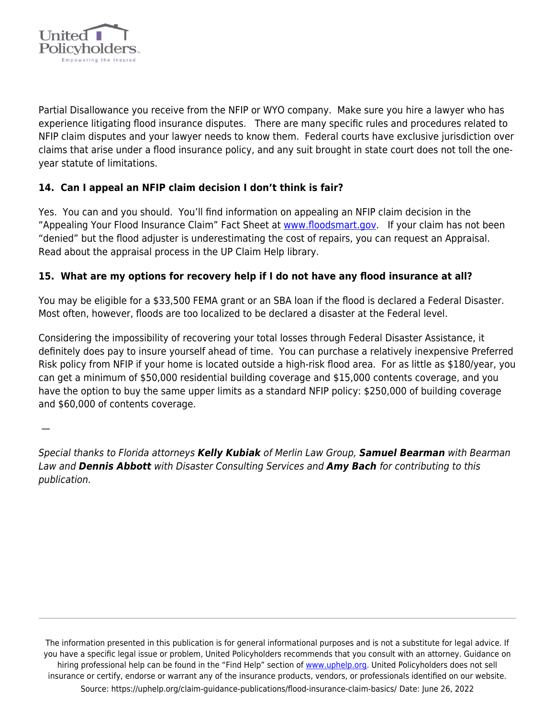

Partial Disallowance you receive from the NFIP or WYO company. Make sure you hire a lawyer who has experience litigating flood insurance disputes. There are many specific rules and procedures related to NFIP claim disputes and your lawyer needs to know them. Federal courts have exclusive jurisdiction over claims that arise under a flood insurance policy, and any suit brought in state court does not toll the oneyear statute of limitations.

# **14. Can I appeal an NFIP claim decision I don't think is fair?**

Yes. You can and you should. You'll find information on appealing an NFIP claim decision in the "Appealing Your Flood Insurance Claim" Fact Sheet at [www.floodsmart.gov](http://www.floodsmart.gov). If your claim has not been "denied" but the flood adjuster is underestimating the cost of repairs, you can request an Appraisal. Read about the appraisal process in the UP Claim Help library.

### **15. What are my options for recovery help if I do not have any flood insurance at all?**

You may be eligible for a \$33,500 FEMA grant or an SBA loan if the flood is declared a Federal Disaster. Most often, however, floods are too localized to be declared a disaster at the Federal level.

Considering the impossibility of recovering your total losses through Federal Disaster Assistance, it definitely does pay to insure yourself ahead of time. You can purchase a relatively inexpensive Preferred Risk policy from NFIP if your home is located outside a high-risk flood area. For as little as \$180/year, you can get a minimum of \$50,000 residential building coverage and \$15,000 contents coverage, and you have the option to buy the same upper limits as a standard NFIP policy: \$250,000 of building coverage and \$60,000 of contents coverage.

—

Special thanks to Florida attorneys *Kelly Kubiak* of Merlin Law Group, *Samuel Bearman* with Bearman Law and *Dennis Abbott* with Disaster Consulting Services and *Amy Bach* for contributing to this publication.